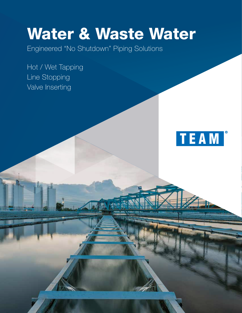# Water & Waste Water

Engineered "No Shutdown" Piping Solutions

Hot / Wet Tapping Line Stopping Valve Inserting

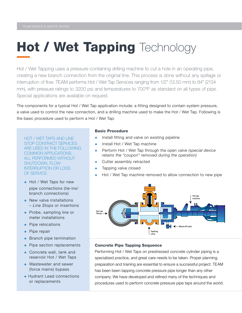### Hot / Wet Tapping Technology

Hot / Wet Tapping uses a pressure-containing drilling machine to cut a hole in an operating pipe, creating a new branch connection from the original line. This process is done without any spillage or interruption of flow. TEAM performs Hot / Wet Tap Services ranging from 1/2" (12.50 mm) to 84" (2134 mm), with pressure ratings to 3200 psi and temperatures to 700°F as standard on all types of pipe. Special applications are available on request.

The components for a typical Hot / Wet Tap application include: a fitting designed to contain system pressure, a valve used to control the new connection, and a drilling machine used to make the Hot / Wet Tap. Following is the basic procedure used to perform a Hot / Wet Tap:

HOT / WET TAPS AND LINE STOP CONTRACT SERVICES ARE USED IN THE FOLLOWING COMMON APPLICATIONS, ALL PERFORMED WITHOUT SHUTDOWN, FLOW INTERRUPTION OR LOSS OF SERVICE.

- + Hot / Wet Taps for new pipe connections (tie-ins/ branch connections)
- + New valve installations – *Line Stops or Insertions*
- + Probe, sampling line or meter installations
- + Pipe relocations
- + Pipe repair
- + Branch pipe termination
- + Pipe section replacements
- + Concrete wall, tank and reservoir Hot / Wet Taps
- + Wastewater and sewer (force mains) bypass
- + Hydrant Lead connections or replacements

#### Basic Procedure

- + Install fitting and valve on existing pipeline
- + Install Hot / Wet Tap machine
- + Perform Hot / Wet Tap through the open valve *(special device retains the "coupon" removed during the operation)*
- + Cutter assembly retracted
- + Tapping valve closed
- + Hot / Wet Tap machine removed to allow connection to new pipe



### Concrete Pipe Tapping Sequence

Performing Hot / Wet Taps on prestressed concrete cylinder piping is a specialized practice, and great care needs to be taken. Proper planning, preparation and training are essential to ensure a successful project. TEAM has been been tapping concrete pressure pipe longer than any other company. We have developed and refined many of the techniques and procedures used to perform concrete pressure pipe taps around the world.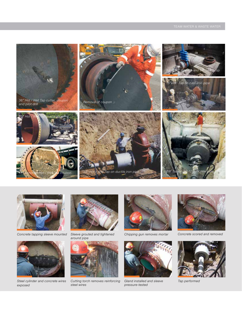





*Steel cylinder and concrete wires exposed*



*Concrete tapping sleeve mounted Sleeve grouted and tightened around pipe*



*Cutting torch removes reinforcing steel wires*



*Chipping gun removes mortar Concrete scored and removed*



*Gland installed and sleeve pressure-tested*





*Tap performed*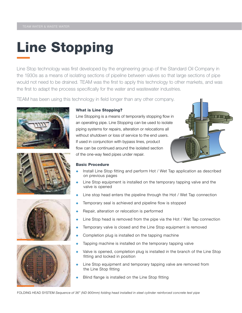## Line Stopping

Line Stop technology was first developed by the engineering group of the Standard Oil Company in the 1930s as a means of isolating sections of pipeline between valves so that large sections of pipe would not need to be drained. TEAM was the first to apply this technology to other markets, and was the first to adapt the process specifically for the water and wastewater industries.

TEAM has been using this technology in field longer than any other company.









#### What is Line Stopping?

Line Stopping is a means of temporarily stopping flow in an operating pipe. Line Stopping can be used to isolate piping systems for repairs, alteration or relocations all without shutdown or loss of service to the end users. If used in conjunction with bypass lines, product flow can be continued around the isolated section of the one-way feed pipes under repair.



#### Basic Procedure

- Install Line Stop fitting and perform Hot / Wet Tap application as described on previous pages
- Line Stop equipment is installed on the temporary tapping valve and the valve is opened
- + Line stop head enters the pipeline through the Hot / Wet Tap connection
- + Temporary seal is achieved and pipeline flow is stopped
- + Repair, alteration or relocation is performed
- Line Stop head is removed from the pipe via the Hot / Wet Tap connection
- Temporary valve is closed and the Line Stop equipment is removed
- Completion plug is installed on the tapping machine
- + Tapping machine is installed on the temporary tapping valve
- Valve is opened, completion plug is installed in the branch of the Line Stop fitting and locked in position
- Line Stop equipment and temporary tapping valve are removed from the Line Stop fitting
- Blind flange is installed on the Line Stop fitting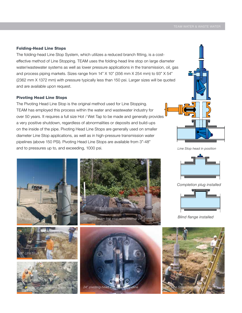#### Folding-Head Line Stops

The folding-head Line Stop System, which utilizes a reduced branch fitting, is a costeffective method of Line Stopping. TEAM uses the folding-head line stop on large diameter water/wastewater systems as well as lower pressure applications in the transmission, oil, gas and process piping markets. Sizes range from 14" X 10" (356 mm X 254 mm) to 93" X 54" (2362 mm X 1372 mm) with pressure typically less than 150 psi. Larger sizes will be quoted and are available upon request.

#### Pivoting Head Line Stops

The Pivoting Head Line Stop is the original method used for Line Stopping. TEAM has employed this process within the water and wastewater industry for over 50 years. It requires a full size Hot / Wet Tap to be made and generally provides a very positive shutdown, regardless of abnormalities or deposits and build-ups on the inside of the pipe. Pivoting Head Line Stops are generally used on smaller diameter Line Stop applications, as well as in high-pressure transmission water pipelines (above 150 PSI). Pivoting Head Line Stops are available from 3"-48" and to pressures up to, and exceeding, 1000 psi. *Line Stop head in position*















*Completion plug installed*



*Blind flange installed*

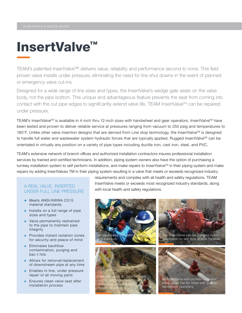### InsertValve™

TEAM's patented InsertValve™ delivers value, reliability and performance second to none. This field proven valve installs under pressure, eliminating the need for line shut downs in the event of planned or emergency valve cut-ins.

Designed for a wide range of line sizes and types, the InsertValve's wedge gate seats on the valve body, not the pipe bottom. This unique and advantageous feature prevents the seat from coming into contact with the cut pipe edges to significantly extend valve life. TEAM InsertValve™ can be repaired under pressure.

TEAM's InsertValve™ is available in 4-inch thru 12-inch sizes with handwheel and gear operators. InsertValve™ have been tested and proven to deliver reliable service at pressures ranging from vacuum to 250 psig and temperatures to 180°F. Unlike other valve insertion designs that are derived from Line stop technology, the InsertValve™ is designed to handle full water and wastewater system hydraulic forces that are typically applied. Rugged InsertValve™ can be orientated in virtually any position on a variety of pipe types including ductile iron, cast iron, steel, and PVC.

TEAM's extensive network of branch offices and authorized installation contractors insures professional installation services by trained and certified technicians. In addition, piping system owners also have the option of purchasing a turnkey installation system to self perform installations, and make repairs to InsertValve<sup>TM</sup> in their piping system and make repairs by adding InsertValves TM in their piping system resulting in a valve that meets or exceeds recognized industry

### UNDER FULL LINE PRESSURE

- + Meets ANSI/AWWA C515 material standards
- + Installs on a full range of pipe sizes and types
- + Valve permanently restrained to the pipe to maintain pipe integrity
- + Provides instant isolation zones for security and peace of mind
- + Eliminates backflow contamination, purging and bac-t hits
- + Allows for removal/replacement of downstream pipe at any time
- + Enables in-line, under pressure repair of all moving parts
- + Ensures clean valve seat after installation process

requirements and complies with all health and safety regulations. TEAM InsertValve meets or exceeds most recognized industry standards, along A REAL VALVE, INSERTED<br>with local health and safety regulations.

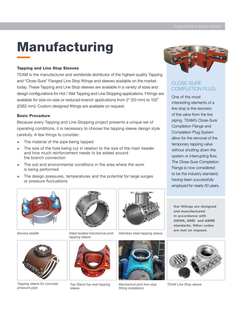### Manufacturing

#### Tapping and Line Stop Sleeves

TEAM is the manufacturer and worldwide distributor of the highest quality Tapping and "Close-Sure" Flanged Line Stop fittings and sleeves available on the market today. These Tapping and Line Stop sleeves are available in a variety of sizes and design configurations for Hot / Wet Tapping and Line Stopping applications. Fittings are available for size-on-size or reduced-branch applications from 2" (50 mm) to 102" (2362 mm). Custom designed fittings are available on request.

#### Basic Procedure

Because every Tapping and Line Stopping project presents a unique set of operating conditions, it is necessary to choose the tapping sleeve design style carefully. A few things to consider:

- + The material of the pipe being tapped
- + The size of the hole being cut in relation to the size of the main header and how much reinforcement needs to be added around the branch connection
- + The soil and environmental conditions in the area where the work is being performed
- + The design pressures, temperatures and the potential for large surges or pressure fluctuations



*Tapping sleeve for concrete* 

*Service saddle*

*pressure pipe*



*tapping sleeve*



*Steel-bodied mechanical joint- Stainless steel tapping sleeve*



*Top Gland top seal tapping sleeve*



*Mechanical joint line-stop fitting installation*



### CLOSE-SURE COMPLETION PLUG

One of the most interesting elements of a line stop is the recovery of the valve from the live piping. TEAM's Close-Sure Completion Flange and Completion Plug System allow for the removal of the temporary tapping valve without shutting down the system or interrupting flow. The Close-Sure Completion Flange is now considered to be the industry standard, having been successfully employed for nearly 50 years.

Our fittings are designed and manufactured in accordance with AWWA, ANSI and ASME standards. Other codes are met on request.



*TEAM Line-Stop sleeve*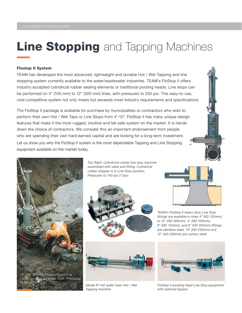### **Line Stopping** and Tapping Machines

#### Flostop II System

TEAM has developed the most advanced, lightweight and durable Hot / Wet Tapping and line stopping system currently available to the water/wastewater industries. TEAM's FloStop II offers industry accepted cylindrical rubber sealing elements or traditional pivoting heads. Line stops can be performed on 4" (100 mm) to 12" (300 mm) lines, with pressures to 250 psi. This easy-to-use, cost-competitive system not only meets but exceeds most industry requirements and specifications.

The FloStop II package is available for purchase by municipalities or contractors who wish to perform their own Hot / Wet Taps or Line Stops from 4"-12". FloStop II has many unique design features that make it the most rugged, intuitive and fail-safe system on the market. It is hands down the choice of contractors. We consider this an important endorsement from people who are spending their own hard earned capital and are looking for a long-term investment. Let us show you why the FloStop II system is the most dependable Tapping and Line Stopping equipment available on the market today.



*Top Right: Cylindrical rubber line stop machine assembled with valve and fitting. Cylindrical rubber stopper is in Line Stop position. Pressures to 100 psi (7 bar).*





*Model IP-142 water main Hot / Wet Tapping machine*



*TEAM's FloStop II heavy-duty Line Stop fittings are available in sizes 4" (ND 100mm) to 12" (ND 300mm). 4" (ND 100mm), 6" (ND 150mm), and 8" (ND 200mm) fittings are stainless steel. 10" (ND 250mm) and 12" (ND 300mm) are carbon steel.*



*FloStop II pivoting head Line Stop equipment with optional bypass*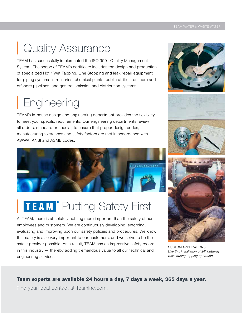### Quality Assurance

TEAM has successfully implemented the ISO 9001 Quality Management System. The scope of TEAM's certificate includes the design and production of specialized Hot / Wet Tapping, Line Stopping and leak repair equipment for piping systems in refineries, chemical plants, public utilities, onshore and offshore pipelines, and gas transmission and distribution systems.

### **Engineering**

TEAM's in-house design and engineering department provides the flexibility to meet your specific requirements. Our engineering departments review all orders, standard or special, to ensure that proper design codes, manufacturing tolerances and safety factors are met in accordance with AWWA, ANSI and ASME codes.



### TEAM<sup>®</sup> Putting Safety First

At TEAM, there is absolutely nothing more important than the safety of our employees and customers. We are continuously developing, enforcing, evaluating and improving upon our safety policies and procedures. We know that safety is also very important to our customers, and we strive to be the safest provider possible. As a result, TEAM has an impressive safety record in this industry — thereby adding tremendous value to all our technical and engineering services.









CUSTOM APPLICATIONS *Like this installation of 24" butterfly valve during tapping operation.*

### Team experts are available 24 hours a day, 7 days a week, 365 days a year.

Find your local contact at TeamInc.com.